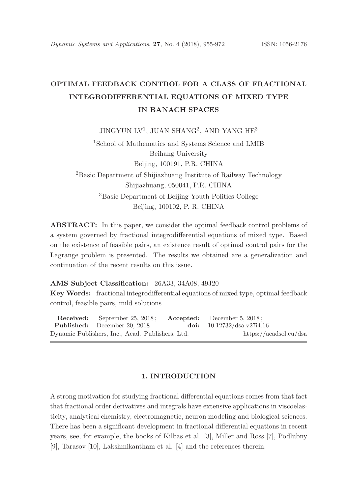# OPTIMAL FEEDBACK CONTROL FOR A CLASS OF FRACTIONAL INTEGRODIFFERENTIAL EQUATIONS OF MIXED TYPE IN BANACH SPACES

 $\rm JINGYUN$   $\rm LV^1,$   $\rm JUAN$   $\rm SHANG^2,$  AND YANG  $\rm HE^3$ 

<sup>1</sup>School of Mathematics and Systems Science and LMIB Beihang University Beijing, 100191, P.R. CHINA <sup>2</sup>Basic Department of Shijiazhuang Institute of Railway Technology Shijiazhuang, 050041, P.R. CHINA <sup>3</sup>Basic Department of Beijing Youth Politics College Beijing, 100102, P. R. CHINA

ABSTRACT: In this paper, we consider the optimal feedback control problems of a system governed by fractional integrodifferential equations of mixed type. Based on the existence of feasible pairs, an existence result of optimal control pairs for the Lagrange problem is presented. The results we obtained are a generalization and continuation of the recent results on this issue.

#### AMS Subject Classification: 26A33, 34A08, 49J20

Key Words: fractional integrodifferential equations of mixed type, optimal feedback control, feasible pairs, mild solutions

Received: September 25, 2018; Accepted: December 5, 2018; Published: December 20, 2018 doi: 10.12732/dsa.v27i4.16 Dynamic Publishers, Inc., Acad. Publishers, Ltd. https://acadsol.eu/dsa

# 1. INTRODUCTION

A strong motivation for studying fractional differential equations comes from that fact that fractional order derivatives and integrals have extensive applications in viscoelasticity, analytical chemistry, electromagnetic, neuron modeling and biological sciences. There has been a significant development in fractional differential equations in recent years, see, for example, the books of Kilbas et al. [3], Miller and Ross [7], Podlubny [9], Tarasov [10], Lakshmikantham et al. [4] and the references therein.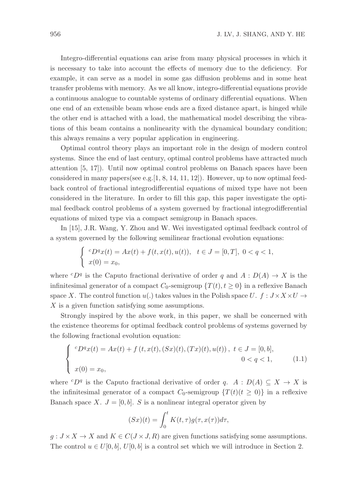Integro-differential equations can arise from many physical processes in which it is necessary to take into account the effects of memory due to the deficiency. For example, it can serve as a model in some gas diffusion problems and in some heat transfer problems with memory. As we all know, integro-differential equations provide a continuous analogue to countable systems of ordinary differential equations. When one end of an extensible beam whose ends are a fixed distance apart, is hinged while the other end is attached with a load, the mathematical model describing the vibrations of this beam contains a nonlinearity with the dynamical boundary condition; this always remains a very popular application in engineering.

Optimal control theory plays an important role in the design of modern control systems. Since the end of last century, optimal control problems have attracted much attention [5, 17]). Until now optimal control problems on Banach spaces have been considered in many papers(see e.g.  $[1, 8, 14, 11, 12]$ ). However, up to now optimal feedback control of fractional integrodifferential equations of mixed type have not been considered in the literature. In order to fill this gap, this paper investigate the optimal feedback control problems of a system governed by fractional integrodifferential equations of mixed type via a compact semigroup in Banach spaces.

In [15], J.R. Wang, Y. Zhou and W. Wei investigated optimal feedback control of a system governed by the following semilinear fractional evolution equations:

$$
\begin{cases}\nc_{D}^{q}x(t) = Ax(t) + f(t, x(t), u(t)), \quad t \in J = [0, T], \ 0 < q < 1, \\
x(0) = x_0,\n\end{cases}
$$

where  ${}^cD^q$  is the Caputo fractional derivative of order q and  $A: D(A) \to X$  is the infinitesimal generator of a compact  $C_0$ -semigroup  $\{T(t), t \geq 0\}$  in a reflexive Banach space X. The control function  $u(.)$  takes values in the Polish space  $U$ .  $f : J \times X \times U \rightarrow$ X is a given function satisfying some assumptions.

Strongly inspired by the above work, in this paper, we shall be concerned with the existence theorems for optimal feedback control problems of systems governed by the following fractional evolution equation:

$$
\begin{cases}\ncD^q x(t) = Ax(t) + f(t, x(t), (Sx)(t), (Tx)(t), u(t)), \ t \in J = [0, b], \\
x(0) = x_0,\n\end{cases}
$$
\n(1.1)

where  ${}^cD^q$  is the Caputo fractional derivative of order q.  $A: D(A) \subseteq X \to X$  is the infinitesimal generator of a compact  $C_0$ -semigroup  $\{T(t)(t \geq 0)\}\$ in a reflexive Banach space X.  $J = [0, b]$ . S is a nonlinear integral operator given by

$$
(Sx)(t) = \int_0^t K(t, \tau) g(\tau, x(\tau)) d\tau,
$$

 $g: J \times X \to X$  and  $K \in C(J \times J, R)$  are given functions satisfying some assumptions. The control  $u \in U[0, b], U[0, b]$  is a control set which we will introduce in Section 2.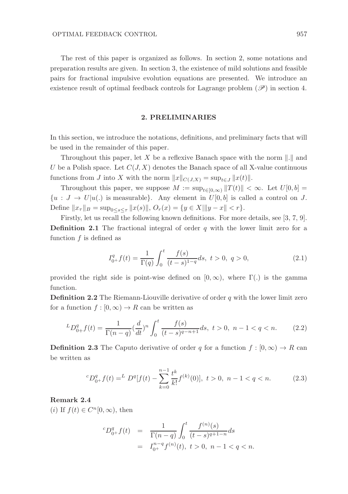The rest of this paper is organized as follows. In section 2, some notations and preparation results are given. In section 3, the existence of mild solutions and feasible pairs for fractional impulsive evolution equations are presented. We introduce an existence result of optimal feedback controls for Lagrange problem  $(\mathscr{P})$  in section 4.

#### 2. PRELIMINARIES

In this section, we introduce the notations, definitions, and preliminary facts that will be used in the remainder of this paper.

Throughout this paper, let X be a reflexive Banach space with the norm  $\|.\|$  and U be a Polish space. Let  $C(J, X)$  denotes the Banach space of all X-value continuous functions from J into X with the norm  $||x||_{C(J,X)} = \sup_{t \in J} ||x(t)||.$ 

Throughout this paper, we suppose  $M := \sup_{t \in [0,\infty)} ||T(t)|| < \infty$ . Let  $U[0, b] =$  ${u : J \to U | u(.)$  is measurable}. Any element in  $U[0, b]$  is called a control on J. Define  $||x_\tau||_B = \sup_{0 \le s \le \tau} ||x(s)||$ ,  $O_r(x) = \{y \in X | ||y - x|| < r\}.$ 

Firstly, let us recall the following known definitions. For more details, see [3, 7, 9]. **Definition 2.1** The fractional integral of order q with the lower limit zero for a function  $f$  is defined as

$$
I_{0+}^q f(t) = \frac{1}{\Gamma(q)} \int_0^t \frac{f(s)}{(t-s)^{1-q}} ds, \ t > 0, \ q > 0,
$$
\n(2.1)

provided the right side is point-wise defined on  $[0, \infty)$ , where  $\Gamma(.)$  is the gamma function.

**Definition 2.2** The Riemann-Liouville derivative of order  $q$  with the lower limit zero for a function  $f : [0, \infty) \to R$  can be written as

$$
{}^{L}D_{0+}^{q}f(t) = \frac{1}{\Gamma(n-q)} \left(\frac{d}{dt}\right)^{n} \int_{0}^{t} \frac{f(s)}{(t-s)^{q-n+1}} ds, \ t > 0, \ n-1 < q < n. \tag{2.2}
$$

**Definition 2.3** The Caputo derivative of order q for a function  $f : [0, \infty) \to R$  can be written as

$$
{}^{c}D_{0+}^{q}f(t) = {}^{L}D^{q}[f(t) - \sum_{k=0}^{n-1} \frac{t^{k}}{k!} f^{(k)}(0)], \ t > 0, \ n - 1 < q < n. \tag{2.3}
$$

## Remark 2.4

(*i*) If  $f(t) \in C^n[0,\infty)$ , then

$$
{}^{c}D_{0+}^{q}f(t) = \frac{1}{\Gamma(n-q)} \int_{0}^{t} \frac{f^{(n)}(s)}{(t-s)^{q+1-n}} ds
$$
  
=  $I_{0+}^{n-q} f^{(n)}(t), t > 0, n-1 < q < n.$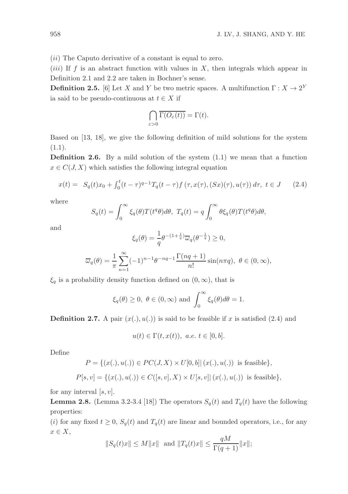(*ii*) The Caputo derivative of a constant is equal to zero.

(*iii*) If f is an abstract function with values in  $X$ , then integrals which appear in Definition 2.1 and 2.2 are taken in Bochner's sense.

**Definition 2.5.** [6] Let X and Y be two metric spaces. A multifunction  $\Gamma: X \to 2^Y$ ia said to be pseudo-continuous at  $t \in X$  if

$$
\bigcap_{\varepsilon>0}\overline{\Gamma(O_{\varepsilon}(t))}=\Gamma(t).
$$

Based on [13, 18], we give the following definition of mild solutions for the system  $(1.1).$ 

**Definition 2.6.** By a mild solution of the system  $(1.1)$  we mean that a function  $x \in C(J, X)$  which satisfies the following integral equation

$$
x(t) = S_q(t)x_0 + \int_0^t (t - \tau)^{q-1} T_q(t - \tau) f(\tau, x(\tau), (Sx)(\tau), u(\tau)) d\tau, \ t \in J \qquad (2.4)
$$

where

$$
S_q(t) = \int_0^\infty \xi_q(\theta) T(t^q \theta) d\theta, \ T_q(t) = q \int_0^\infty \theta \xi_q(\theta) T(t^q \theta) d\theta,
$$

and

$$
\xi_q(\theta) = \frac{1}{q} \theta^{-(1+\frac{1}{q})} \overline{\omega}_q(\theta^{-\frac{1}{q}}) \ge 0,
$$

$$
\overline{\omega}_q(\theta) = \frac{1}{\pi} \sum_{n=1}^{\infty} (-1)^{n-1} \theta^{-nq-1} \frac{\Gamma(nq+1)}{n!} \sin(n\pi q), \ \theta \in (0, \infty),
$$

 $\xi_q$  is a probability density function defined on  $(0, \infty)$ , that is

$$
\xi_q(\theta) \ge 0, \ \theta \in (0, \infty)
$$
 and  $\int_0^\infty \xi_q(\theta) d\theta = 1.$ 

**Definition 2.7.** A pair  $(x(.) , u(.))$  is said to be feasible if x is satisfied (2.4) and

$$
u(t) \in \Gamma(t, x(t)), \ a.e. \ t \in [0, b].
$$

Define

$$
P = \{(x(.), u(.)) \in PC(J, X) \times U[0, b] | (x(.), u(.)) \text{ is feasible}\},
$$
  

$$
P[s, v] = \{(x(.), u(.)) \in C([s, v], X) \times U[s, v] | (x(.), u(.)) \text{ is feasible}\},
$$

for any interval  $[s, v]$ .

**Lemma 2.8.** (Lemma 3.2-3.4 [18]) The operators  $S_q(t)$  and  $T_q(t)$  have the following properties:

(i) for any fixed  $t \geq 0$ ,  $S_q(t)$  and  $T_q(t)$  are linear and bounded operators, i.e., for any  $x \in X$ ,

$$
||S_q(t)x|| \le M||x||
$$
 and  $||T_q(t)x|| \le \frac{qM}{\Gamma(q+1)}||x||;$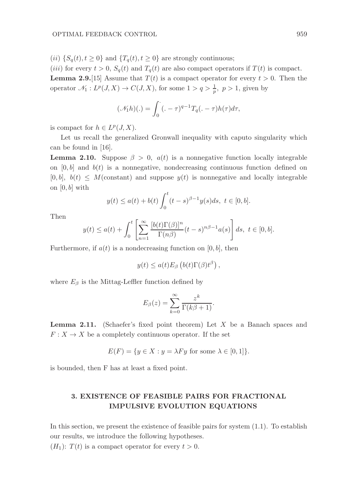(ii)  $\{S_q(t), t \geq 0\}$  and  $\{T_q(t), t \geq 0\}$  are strongly continuous;

(*iii*) for every  $t > 0$ ,  $S_q(t)$  and  $T_q(t)$  are also compact operators if  $T(t)$  is compact.

**Lemma 2.9.** [15] Assume that  $T(t)$  is a compact operator for every  $t > 0$ . Then the operator  $\mathcal{N}_1: L^p(J,X) \to C(J,X)$ , for some  $1 > q > \frac{1}{p}$ ,  $p > 1$ , given by

$$
(\mathcal{N}_1 h)(.) = \int_0^\cdot (1 - \tau)^{q-1} T_q(1 - \tau) h(\tau) d\tau,
$$

is compact for  $h \in L^p(J, X)$ .

Let us recall the generalized Gronwall inequality with caputo singularity which can be found in [16].

**Lemma 2.10.** Suppose  $\beta > 0$ ,  $a(t)$  is a nonnegative function locally integrable on  $[0, b]$  and  $b(t)$  is a nonnegative, nondecreasing continuous function defined on  $[0, b], b(t) \leq M$ (constant) and suppose  $y(t)$  is nonnegative and locally integrable on  $[0, b]$  with

$$
y(t) \le a(t) + b(t) \int_0^t (t-s)^{\beta-1} y(s) ds, t \in [0, b].
$$

Then

$$
y(t) \le a(t) + \int_0^t \left[ \sum_{n=1}^\infty \frac{[b(t)\Gamma(\beta)]^n}{\Gamma(n\beta)} (t-s)^{n\beta-1} a(s) \right] ds, \ t \in [0, b].
$$

Furthermore, if  $a(t)$  is a nondecreasing function on [0, b], then

$$
y(t) \le a(t) E_{\beta} \left( b(t) \Gamma(\beta) t^{\beta} \right),
$$

where  $E_\beta$  is the Mittag-Leffler function defined by

$$
E_{\beta}(z) = \sum_{k=0}^{\infty} \frac{z^k}{\Gamma(k\beta + 1)}.
$$

**Lemma 2.11.** (Schaefer's fixed point theorem) Let  $X$  be a Banach spaces and  $F: X \to X$  be a completely continuous operator. If the set

$$
E(F) = \{ y \in X : y = \lambda F y \text{ for some } \lambda \in [0, 1] \}.
$$

is bounded, then F has at least a fixed point.

# 3. EXISTENCE OF FEASIBLE PAIRS FOR FRACTIONAL IMPULSIVE EVOLUTION EQUATIONS

In this section, we present the existence of feasible pairs for system (1.1). To establish our results, we introduce the following hypotheses.

 $(H_1): T(t)$  is a compact operator for every  $t > 0$ .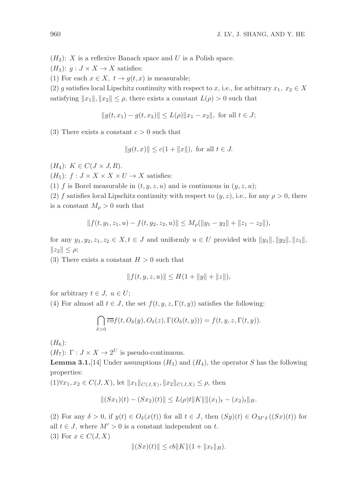$(H_2)$ : X is a reflexive Banach space and U is a Polish space.

 $(H_3): g: J \times X \to X$  satisfies:

(1) For each  $x \in X$ ,  $t \to g(t, x)$  is measurable;

(2) g satisfies local Lipschitz continuity with respect to x, i.e., for arbitrary  $x_1, x_2 \in X$ satisfying  $||x_1||, ||x_2|| \leq \rho$ , there exists a constant  $L(\rho) > 0$  such that

$$
||g(t, x_1) - g(t, x_2)|| \le L(\rho) ||x_1 - x_2||, \text{ for all } t \in J;
$$

(3) There exists a constant  $c > 0$  such that

$$
||g(t, x)|| \le c(1 + ||x||)
$$
, for all  $t \in J$ .

 $(H_4): K \in C(J \times J, R).$ 

 $(H_5): f: J \times X \times X \times U \rightarrow X$  satisfies:

(1) f is Borel measurable in  $(t, y, z, u)$  and is continuous in  $(y, z, u)$ ;

(2) f satisfies local Lipschitz continuity with respect to  $(y, z)$ , i.e., for any  $\rho > 0$ , there is a constant  $M_{\rho} > 0$  such that

$$
|| f(t, y_1, z_1, u) - f(t, y_2, z_2, u)|| \le M_\rho(||y_1 - y_2|| + ||z_1 - z_2||),
$$

for any  $y_1, y_2, z_1, z_2 \in X, t \in J$  and uniformly  $u \in U$  provided with  $||y_1||, ||y_2||, ||z_1||$ ,  $||z_2|| \leq \rho;$ 

(3) There exists a constant  $H > 0$  such that

$$
||f(t, y, z, u)|| \le H(1 + ||y|| + ||z||),
$$

for arbitrary  $t \in J$ ,  $u \in U$ ;

(4) For almost all  $t \in J$ , the set  $f(t, y, z, \Gamma(t, y))$  satisfies the following:

$$
\bigcap_{\delta>0} \overline{co}f(t, O_{\delta}(y), O_{\delta}(z), \Gamma(O_{\delta}(t, y))) = f(t, y, z, \Gamma(t, y)).
$$

 $(H_6)$ :

 $(H_7)$ :  $\Gamma: J \times X \to 2^U$  is pseudo-continuous.

**Lemma 3.1.**[14] Under assumptions  $(H_3)$  and  $(H_4)$ , the operator S has the following properties:

 $(1)\forall x_1, x_2 \in C(J, X), \text{ let } ||x_1||_{C(J, X)}, ||x_2||_{C(J, X)} \leq \rho, \text{ then}$ 

$$
||(Sx_1)(t) - (Sx_2)(t)|| \le L(\rho)t||K|| \|(x_1)_t - (x_2)_t||_B.
$$

(2) For any  $\delta > 0$ , if  $y(t) \in O_{\delta}(x(t))$  for all  $t \in J$ , then  $(Sy)(t) \in O_{M' \delta}((Sx)(t))$  for all  $t \in J$ , where  $M' > 0$  is a constant independent on t. (3) For  $x \in C(J, X)$ 

$$
||(Sx)(t)|| \le cb||K||(1+||x_t||_B).
$$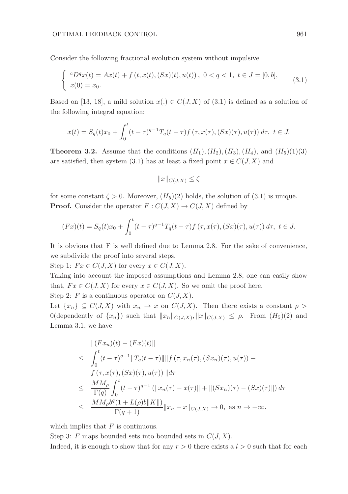Consider the following fractional evolution system without impulsive

$$
\begin{cases} \ ^{c}D^{q}x(t) = Ax(t) + f(t, x(t), (Sx)(t), u(t)), \ 0 < q < 1, \ t \in J = [0, b], \\ \ x(0) = x_{0}. \end{cases}
$$
 (3.1)

Based on [13, 18], a mild solution  $x(.) \in C(J, X)$  of (3.1) is defined as a solution of the following integral equation:

$$
x(t) = S_q(t)x_0 + \int_0^t (t - \tau)^{q-1} T_q(t - \tau) f(\tau, x(\tau), (Sx)(\tau), u(\tau)) d\tau, \ t \in J.
$$

**Theorem 3.2.** Assume that the conditions  $(H_1), (H_2), (H_3), (H_4)$ , and  $(H_5)(1)(3)$ are satisfied, then system (3.1) has at least a fixed point  $x \in C(J, X)$  and

$$
||x||_{C(J,X)} \le \zeta
$$

for some constant  $\zeta > 0$ . Moreover,  $(H_5)(2)$  holds, the solution of (3.1) is unique. **Proof.** Consider the operator  $F: C(J, X) \to C(J, X)$  defined by

$$
(Fx)(t) = S_q(t)x_0 + \int_0^t (t-\tau)^{q-1} T_q(t-\tau) f(\tau, x(\tau), (Sx)(\tau), u(\tau)) d\tau, \ t \in J.
$$

It is obvious that F is well defined due to Lemma 2.8. For the sake of convenience, we subdivide the proof into several steps.

Step 1:  $Fx \in C(J, X)$  for every  $x \in C(J, X)$ .

Taking into account the imposed assumptions and Lemma 2.8, one can easily show that,  $Fx \in C(J, X)$  for every  $x \in C(J, X)$ . So we omit the proof here.

Step 2: F is a continuous operator on  $C(J, X)$ .

Let  $\{x_n\} \subseteq C(J,X)$  with  $x_n \to x$  on  $C(J,X)$ . Then there exists a constant  $\rho >$  $0$ (dependently of  $\{x_n\}$ ) such that  $||x_n||_{C(J,X)}, ||x||_{C(J,X)} \leq \rho$ . From  $(H_5)(2)$  and Lemma 3.1, we have

$$
\| (Fx_n)(t) - (Fx)(t) \|
$$
  
\n
$$
\leq \int_0^t (t - \tau)^{q-1} \|T_q(t - \tau)\| \| f(\tau, x_n(\tau), (Sx_n)(\tau), u(\tau)) -
$$
  
\n
$$
f(\tau, x(\tau), (Sx)(\tau), u(\tau)) \| d\tau
$$
  
\n
$$
\leq \frac{MM_\rho}{\Gamma(q)} \int_0^t (t - \tau)^{q-1} ( \|x_n(\tau) - x(\tau)\| + \| (Sx_n)(\tau) - (Sx)(\tau) \| ) d\tau
$$
  
\n
$$
\leq \frac{MM_\rho b^q (1 + L(\rho) b \| K \|)}{\Gamma(q+1)} \|x_n - x\|_{C(J,X)} \to 0, \text{ as } n \to +\infty.
$$

which implies that  $F$  is continuous.

Step 3: F maps bounded sets into bounded sets in  $C(J, X)$ .

Indeed, it is enough to show that for any  $r > 0$  there exists a  $l > 0$  such that for each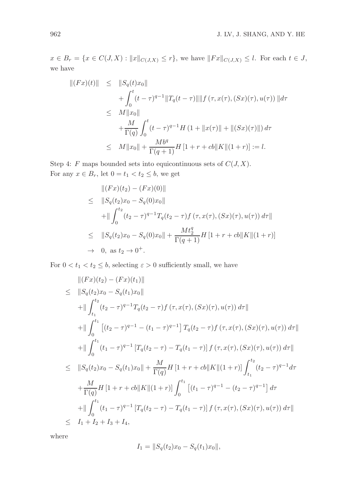$x \in B_r = \{x \in C(J, X) : ||x||_{C(J, X)} \leq r\}$ , we have  $||Fx||_{C(J, X)} \leq l$ . For each  $t \in J$ , we have

$$
\begin{aligned} ||(Fx)(t)|| &\leq ||S_q(t)x_0|| \\ &+ \int_0^t (t-\tau)^{q-1} ||T_q(t-\tau)|| ||f(\tau, x(\tau), (Sx)(\tau), u(\tau))|| d\tau \\ &\leq & M ||x_0|| \\ &+ \frac{M}{\Gamma(q)} \int_0^t (t-\tau)^{q-1} H \left(1 + ||x(\tau)|| + ||(Sx)(\tau)||\right) d\tau \\ &\leq & M ||x_0|| + \frac{Mb^q}{\Gamma(q+1)} H \left[1 + r + cb||K||(1+r)\right] := l. \end{aligned}
$$

Step 4: F maps bounded sets into equicontinuous sets of  $C(J, X)$ . For any  $x \in B_r$ , let  $0 = t_1 < t_2 \leq b$ , we get

$$
\| (Fx)(t_2) - (Fx)(0) \|
$$
  
\n
$$
\leq \| S_q(t_2)x_0 - S_q(0)x_0 \|
$$
  
\n
$$
+ \| \int_0^{t_2} (t_2 - \tau)^{q-1} T_q(t_2 - \tau) f(\tau, x(\tau), (Sx)(\tau), u(\tau)) d\tau \|
$$
  
\n
$$
\leq \| S_q(t_2)x_0 - S_q(0)x_0 \| + \frac{Mt_2^q}{\Gamma(q+1)} H [1 + r + cb \| K \| (1+r) ]
$$
  
\n
$$
\to 0, \text{ as } t_2 \to 0^+.
$$

For  $0 < t_1 < t_2 \leq b$ , selecting  $\varepsilon > 0$  sufficiently small, we have

$$
\| (Fx)(t_2) - (Fx)(t_1) \|
$$
\n
$$
\leq \| S_q(t_2)x_0 - S_q(t_1)x_0 \|
$$
\n
$$
+ \| \int_{t_1}^{t_2} (t_2 - \tau)^{q-1} T_q(t_2 - \tau) f(\tau, x(\tau), (Sx)(\tau), u(\tau)) d\tau \|
$$
\n
$$
+ \| \int_0^{t_1} \left[ (t_2 - \tau)^{q-1} - (t_1 - \tau)^{q-1} \right] T_q(t_2 - \tau) f(\tau, x(\tau), (Sx)(\tau), u(\tau)) d\tau \|
$$
\n
$$
+ \| \int_0^{t_1} (t_1 - \tau)^{q-1} \left[ T_q(t_2 - \tau) - T_q(t_1 - \tau) \right] f(\tau, x(\tau), (Sx)(\tau), u(\tau)) d\tau \|
$$
\n
$$
\leq \| S_q(t_2)x_0 - S_q(t_1)x_0 \| + \frac{M}{\Gamma(q)} H \left[ 1 + r + cb \| K \| (1+r) \right] \int_{t_1}^{t_2} (t_2 - \tau)^{q-1} d\tau
$$
\n
$$
+ \frac{M}{\Gamma(q)} H \left[ 1 + r + cb \| K \| (1+r) \right] \int_0^{t_1} \left[ (t_1 - \tau)^{q-1} - (t_2 - \tau)^{q-1} \right] d\tau
$$
\n
$$
+ \| \int_0^{t_1} (t_1 - \tau)^{q-1} \left[ T_q(t_2 - \tau) - T_q(t_1 - \tau) \right] f(\tau, x(\tau), (Sx)(\tau), u(\tau)) d\tau \|
$$
\n
$$
\leq I_1 + I_2 + I_3 + I_4,
$$

where

$$
I_1 = ||S_q(t_2)x_0 - S_q(t_1)x_0||,
$$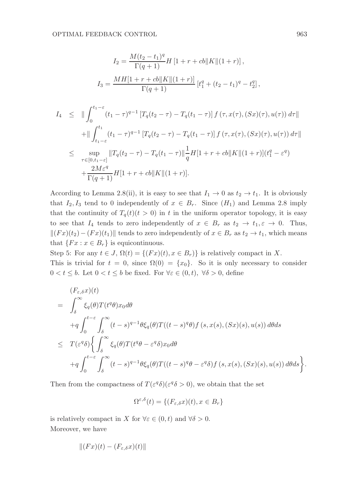$$
I_2 = \frac{M(t_2 - t_1)^q}{\Gamma(q+1)} H [1 + r + cb] K ||(1+r)],
$$
  
\n
$$
I_3 = \frac{MH[1 + r + cb]K ||(1+r)]}{\Gamma(q+1)} [t_1^q + (t_2 - t_1)^q - t_2^q],
$$
  
\n
$$
I_4 \le || \int_0^{t_1 - \varepsilon} (t_1 - \tau)^{q-1} [T_q(t_2 - \tau) - T_q(t_1 - \tau)] f(\tau, x(\tau), (Sx)(\tau), u(\tau)) d\tau||
$$
  
\n
$$
+ || \int_{t_1 - \varepsilon}^{t_1} (t_1 - \tau)^{q-1} [T_q(t_2 - \tau) - T_q(t_1 - \tau)] f(\tau, x(\tau), (Sx)(\tau), u(\tau)) d\tau||
$$
  
\n
$$
\le \sup_{\tau \in [0, t_1 - \varepsilon]} ||T_q(t_2 - \tau) - T_q(t_1 - \tau)||\frac{1}{q} H [1 + r + cb] K ||(1+r)] (t_1^q - \varepsilon^q)
$$
  
\n
$$
+ \frac{2M\varepsilon^q}{\Gamma(q+1)} H [1 + r + cb] K ||(1+r)].
$$

According to Lemma 2.8(ii), it is easy to see that  $I_1 \rightarrow 0$  as  $t_2 \rightarrow t_1$ . It is obviously that  $I_2, I_3$  tend to 0 independently of  $x \in B_r$ . Since  $(H_1)$  and Lemma 2.8 imply that the continuity of  $T_q(t)(t > 0)$  in t in the uniform operator topology, it is easy to see that  $I_4$  tends to zero independently of  $x \in B_r$  as  $t_2 \to t_1, \varepsilon \to 0$ . Thus,  $\|(Fx)(t_2)-(Fx)(t_1)\|$  tends to zero independently of  $x \in B_r$  as  $t_2 \to t_1$ , which means that  $\{Fx : x \in B_r\}$  is equicontinuous.

Step 5: For any  $t \in J$ ,  $\Omega(t) = \{(Fx)(t), x \in B_r)\}\$ is relatively compact in X. This is trivial for  $t = 0$ , since  $\Omega(0) = \{x_0\}$ . So it is only necessary to consider  $0 < t \leq b$ . Let  $0 < t \leq b$  be fixed. For  $\forall \varepsilon \in (0, t)$ ,  $\forall \delta > 0$ , define

$$
(F_{\varepsilon,\delta}x)(t)
$$
\n
$$
= \int_{\delta}^{\infty} \xi_q(\theta) T(t^q \theta) x_0 d\theta
$$
\n
$$
+ q \int_{0}^{t-\varepsilon} \int_{\delta}^{\infty} (t-s)^{q-1} \theta \xi_q(\theta) T((t-s)^q \theta) f(s, x(s), (Sx)(s), u(s)) d\theta ds
$$
\n
$$
\leq T(\varepsilon^q \delta) \Biggl\{ \int_{\delta}^{\infty} \xi_q(\theta) T(t^q \theta - \varepsilon^q \delta) x_0 d\theta
$$
\n
$$
+ q \int_{0}^{t-\varepsilon} \int_{\delta}^{\infty} (t-s)^{q-1} \theta \xi_q(\theta) T((t-s)^q \theta - \varepsilon^q \delta) f(s, x(s), (Sx)(s), u(s)) d\theta ds \Biggr\}.
$$

Then from the compactness of  $T(\varepsilon^q \delta)(\varepsilon^q \delta > 0)$ , we obtain that the set

$$
\Omega^{\varepsilon,\delta}(t) = \{ (F_{\varepsilon,\delta}x)(t), x \in B_r \}
$$

is relatively compact in X for  $\forall \varepsilon \in (0, t)$  and  $\forall \delta > 0$ . Moreover, we have

$$
|| (Fx)(t) - (F_{\varepsilon,\delta}x)(t)||
$$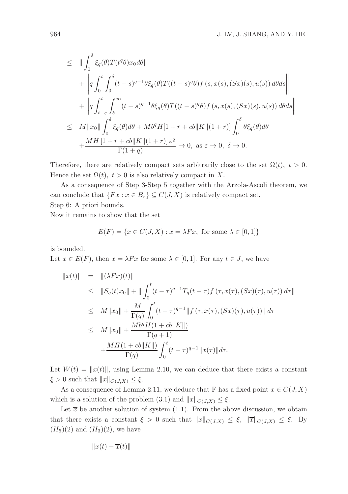$$
\leq \|\int_0^{\delta} \xi_q(\theta) T(t^q \theta) x_0 d\theta\|
$$
  
+ 
$$
\left\| q \int_0^t \int_0^{\delta} (t-s)^{q-1} \theta \xi_q(\theta) T((t-s)^q \theta) f(s, x(s), (Sx)(s), u(s)) d\theta ds \right\|
$$
  
+ 
$$
\left\| q \int_{t-\varepsilon}^t \int_{\delta}^{\infty} (t-s)^{q-1} \theta \xi_q(\theta) T((t-s)^q \theta) f(s, x(s), (Sx)(s), u(s)) d\theta ds \right\|
$$
  

$$
\leq M \|x_0\| \int_0^{\delta} \xi_q(\theta) d\theta + Mb^q H[1+r+c b]K \|(1+r)\| \int_0^{\delta} \theta \xi_q(\theta) d\theta
$$
  
+ 
$$
\frac{MH[1+r+c b]K \|(1+r)] \varepsilon^q}{\Gamma(1+q)} \to 0, \text{ as } \varepsilon \to 0, \delta \to 0.
$$

Therefore, there are relatively compact sets arbitrarily close to the set  $\Omega(t)$ ,  $t > 0$ . Hence the set  $\Omega(t)$ ,  $t > 0$  is also relatively compact in X.

As a consequence of Step 3-Step 5 together with the Arzola-Ascoli theorem, we can conclude that  $\{Fx : x \in B_r\} \subseteq C(J,X)$  is relatively compact set. Step 6: A priori bounds.

Now it remains to show that the set

$$
E(F) = \{ x \in C(J, X) : x = \lambda Fx, \text{ for some } \lambda \in [0, 1] \}
$$

is bounded.

Let  $x \in E(F)$ , then  $x = \lambda Fx$  for some  $\lambda \in [0,1]$ . For any  $t \in J$ , we have

$$
||x(t)|| = ||(\lambda Fx)(t)||
$$
  
\n
$$
\leq ||S_q(t)x_0|| + ||\int_0^t (t-\tau)^{q-1} T_q(t-\tau) f(\tau, x(\tau), (Sx)(\tau), u(\tau)) d\tau||
$$
  
\n
$$
\leq M||x_0|| + \frac{M}{\Gamma(q)} \int_0^t (t-\tau)^{q-1} ||f(\tau, x(\tau), (Sx)(\tau), u(\tau))|| d\tau
$$
  
\n
$$
\leq M||x_0|| + \frac{Mb^q H(1+cb||K||)}{\Gamma(q+1)} + \frac{MH(1+cb||K||)}{\Gamma(q)} \int_0^t (t-\tau)^{q-1} ||x(\tau)|| d\tau.
$$

Let  $W(t) = ||x(t)||$ , using Lemma 2.10, we can deduce that there exists a constant  $\xi > 0$  such that  $||x||_{C(J,X)} \leq \xi$ .

As a consequence of Lemma 2.11, we deduce that F has a fixed point  $x \in C(J, X)$ which is a solution of the problem (3.1) and  $||x||_{C(J,X)} \leq \xi$ .

Let  $\bar{x}$  be another solution of system (1.1). From the above discussion, we obtain that there exists a constant  $\xi > 0$  such that  $||x||_{C(J,X)} \leq \xi$ ,  $||\overline{x}||_{C(J,X)} \leq \xi$ . By  $(H_5)(2)$  and  $(H_3)(2)$ , we have

$$
||x(t) - \overline{x}(t)||
$$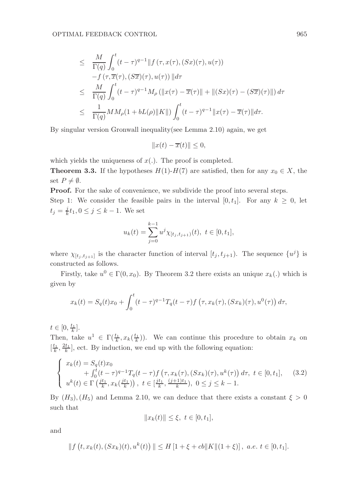$$
\leq \frac{M}{\Gamma(q)} \int_0^t (t-\tau)^{q-1} ||f(\tau, x(\tau), (Sx)(\tau), u(\tau))
$$
  
\n
$$
-f(\tau, \overline{x}(\tau), (S\overline{x})(\tau), u(\tau)) || d\tau
$$
  
\n
$$
\leq \frac{M}{\Gamma(q)} \int_0^t (t-\tau)^{q-1} M_\rho (||x(\tau) - \overline{x}(\tau)|| + ||(Sx)(\tau) - (S\overline{x})(\tau)||) d\tau
$$
  
\n
$$
\leq \frac{1}{\Gamma(q)} M M_\rho (1 + bL(\rho) ||K||) \int_0^t (t-\tau)^{q-1} ||x(\tau) - \overline{x}(\tau)|| d\tau.
$$

By singular version Gronwall inequality(see Lemma 2.10) again, we get

$$
||x(t) - \overline{x}(t)|| \le 0,
$$

which yields the uniqueness of  $x(.)$ . The proof is completed.

**Theorem 3.3.** If the hypotheses  $H(1)-H(7)$  are satisfied, then for any  $x_0 \in X$ , the set  $P \neq \emptyset$ .

Proof. For the sake of convenience, we subdivide the proof into several steps. Step 1: We consider the feasible pairs in the interval [0,  $t_1$ ]. For any  $k \geq 0$ , let  $t_j = \frac{j}{k} t_1, 0 \le j \le k - 1$ . We set

$$
u_k(t) = \sum_{j=0}^{k-1} u^j \chi_{[t_j, t_{j+1})}(t), \ t \in [0, t_1],
$$

where  $\chi_{[t_j,t_{j+1}]}$  is the character function of interval  $[t_j,t_{j+1})$ . The sequence  $\{u^j\}$  is constructed as follows.

Firstly, take  $u^0 \in \Gamma(0, x_0)$ . By Theorem 3.2 there exists an unique  $x_k(.)$  which is given by

$$
x_k(t) = S_q(t)x_0 + \int_0^t (t - \tau)^{q-1} T_q(t - \tau) f\left(\tau, x_k(\tau), (Sx_k)(\tau), u^0(\tau)\right) d\tau,
$$

 $t \in [0, \frac{t_1}{k}].$ 

Then, take  $u^1 \in \Gamma(\frac{t_1}{k}, x_k(\frac{t_1}{k}))$ . We can continue this procedure to obtain  $x_k$  on  $[\frac{t_1}{k}, \frac{2t_1}{k}]$ , ect. By induction, we end up with the following equation:

$$
\begin{cases}\nx_k(t) = S_q(t)x_0 \\
\quad + \int_0^t (t-\tau)^{q-1} T_q(t-\tau) f(\tau, x_k(\tau), (Sx_k)(\tau), u^k(\tau)) d\tau, \ t \in [0, t_1], \\
u^k(t) \in \Gamma\left(\frac{jt_1}{k}, x_k(\frac{jt_1}{k})\right), \ t \in [\frac{jt_1}{k}, \frac{(j+1)t_1}{k}), \ 0 \le j \le k-1.\n\end{cases} (3.2)
$$

By  $(H_3)$ ,  $(H_5)$  and Lemma 2.10, we can deduce that there exists a constant  $\xi > 0$ such that

$$
||x_k(t)|| \le \xi, \ t \in [0, t_1],
$$

and

$$
|| f(t, x_k(t), (Sx_k)(t), u^k(t)) || \le H [1 + \xi + cb ||K|| (1 + \xi)], a.e. t \in [0, t_1].
$$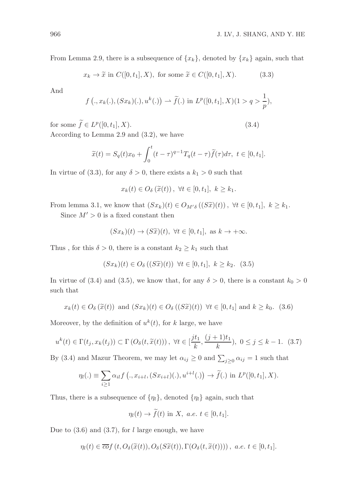From Lemma 2.9, there is a subsequence of  $\{x_k\}$ , denoted by  $\{x_k\}$  again, such that

$$
x_k \to \tilde{x} \text{ in } C([0, t_1], X), \text{ for some } \tilde{x} \in C([0, t_1], X). \tag{3.3}
$$

And

$$
f (., x_k(.), (Sx_k)(.), u^k(.)) \rightharpoonup \widetilde{f}(.)
$$
 in  $L^p([0, t_1], X)(1 > q > \frac{1}{p}),$ 

for some  $\widetilde{f} \in L^p([0, t_1], X)$ . (3.4)

According to Lemma 2.9 and (3.2), we have

$$
\widetilde{x}(t) = S_q(t)x_0 + \int_0^t (t - \tau)^{q-1} T_q(t - \tau) \widetilde{f}(\tau) d\tau, \ t \in [0, t_1].
$$

In virtue of (3.3), for any  $\delta > 0$ , there exists a  $k_1 > 0$  such that

$$
x_k(t) \in O_{\delta}\left(\tilde{x}(t)\right), \ \forall t \in [0, t_1], \ k \geq k_1.
$$

From lemma 3.1, we know that  $(Sx_k)(t) \in O_{M'\delta}((S\widetilde{x})(t))$ ,  $\forall t \in [0, t_1], k \geq k_1$ .

Since  $M' > 0$  is a fixed constant then

$$
(Sx_k)(t) \to (S\widetilde{x})(t), \ \forall t \in [0, t_1], \ \text{as } k \to +\infty.
$$

Thus, for this  $\delta > 0$ , there is a constant  $k_2 \geq k_1$  such that

$$
(Sx_k)(t) \in O_{\delta}((S\widetilde{x})(t)) \ \forall t \in [0, t_1], \ k \ge k_2. \ (3.5)
$$

In virtue of (3.4) and (3.5), we know that, for any  $\delta > 0$ , there is a constant  $k_0 > 0$ such that

$$
x_k(t) \in O_\delta(\widetilde{x}(t))
$$
 and  $(Sx_k)(t) \in O_\delta((S\widetilde{x})(t)) \ \forall t \in [0, t_1]$  and  $k \geq k_0$ . (3.6)

Moreover, by the definition of  $u^k(t)$ , for k large, we have

$$
u^k(t) \in \Gamma(t_j, x_k(t_j)) \subset \Gamma\left(O_\delta(t, \widetilde{x}(t))\right), \ \forall t \in [\frac{j t_1}{k}, \frac{(j+1) t_1}{k}), \ 0 \le j \le k-1. \tag{3.7}
$$

By (3.4) and Mazur Theorem, we may let  $\alpha_{ij} \geq 0$  and  $\sum_{j\geq 0} \alpha_{ij} = 1$  such that

$$
\eta_l(.) \equiv \sum_{i\geq 1} \alpha_{il} f\left(., x_{i+l}, (Sx_{i+l})(.), u^{i+l}(.)\right) \rightarrow \widetilde{f}(.) \text{ in } L^p([0, t_1], X).
$$

Thus, there is a subsequence of  $\{\eta_l\}$ , denoted  $\{\eta_l\}$  again, such that

$$
\eta_l(t) \to \tilde{f}(t) \text{ in } X, \ a.e. \ t \in [0, t_1].
$$

Due to  $(3.6)$  and  $(3.7)$ , for l large enough, we have

$$
\eta_l(t) \in \overline{co}f(t, O_{\delta}(\widetilde{x}(t)), O_{\delta}(S\widetilde{x}(t)), \Gamma(O_{\delta}(t, \widetilde{x}(t)))) , \ a.e. \ t \in [0, t_1].
$$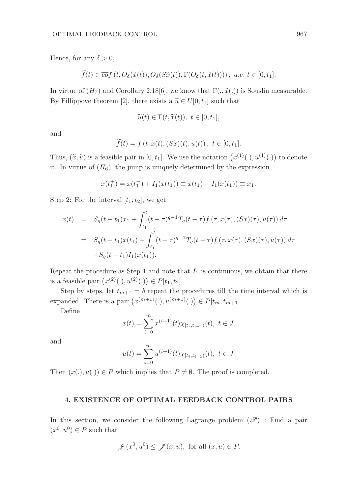Hence, for any  $\delta > 0$ ,

$$
f(t) \in \overline{co}f(t, O_{\delta}(\widetilde{x}(t)), O_{\delta}(S\widetilde{x}(t)), \Gamma(O_{\delta}(t, \widetilde{x}(t)))) , \ a.e. \ t \in [0, t_1].
$$

In virtue of  $(H_7)$  and Corollary 2.18[6], we know that  $\Gamma(.,\tilde{x}(.))$  is Souslin measurable. By Fillippove theorem [2], there exists a  $\tilde{u} \in U[0, t_1]$  such that

$$
\widetilde{u}(t) \in \Gamma(t, \widetilde{x}(t)), \ t \in [0, t_1],
$$

and

$$
\widetilde{f}(t) = f(t, \widetilde{x}(t), (S\widetilde{x})(t), \widetilde{u}(t)), \ t \in [0, t_1].
$$

Thus,  $(\tilde{x}, \tilde{u})$  is a feasible pair in [0, t<sub>1</sub>]. We use the notation  $(x^{(1)}(.), u^{(1)}(.)$  to denote it. In virtue of  $(H_6)$ , the jump is uniquely determined by the expression

$$
x(t_1^+) = x(t_1^-) + I_1(x(t_1)) \equiv x(t_1) + I_1(x(t_1)) \equiv x_1.
$$

Step 2: For the interval  $[t_1, t_2]$ , we get

$$
x(t) = S_q(t-t_1)x_1 + \int_{t_1}^t (t-\tau)^{q-1} T_q(t-\tau) f(\tau, x(\tau), (Sx)(\tau), u(\tau)) d\tau
$$
  

$$
= S_q(t-t_1)x(t_1) + \int_{t_1}^t (t-\tau)^{q-1} T_q(t-\tau) f(\tau, x(\tau), (Sx)(\tau), u(\tau)) d\tau
$$
  

$$
+S_q(t-t_1) I_1(x(t_1)).
$$

Repeat the procedure as Step 1 and note that  $I_1$  is continuous, we obtain that there is a feasible pair  $(x^{(2)}(.), u^{(2)}(.)) \in P[t_1, t_2]$ .

Step by steps, let  $t_{m+1} = b$  repeat the procedures till the time interval which is expanded. There is a pair  $(x^{(m+1)}(.), u^{(m+1)}(.) \in P[t_m, t_{m+1}].$ 

Define

$$
x(t) = \sum_{i=0}^{m} x^{(i+1)}(t) \chi_{[t_i, t_{i+1})}(t), \ t \in J,
$$

and

$$
u(t) = \sum_{i=0}^{m} u^{(i+1)}(t) \chi_{[t_i, t_{i+1})}(t), \ t \in J.
$$

Then  $(x(.)$ ,  $u(.)$   $\in$  P which implies that  $P \neq \emptyset$ . The proof is completed.

# 4. EXISTENCE OF OPTIMAL FEEDBACK CONTROL PAIRS

In this section, we consider the following Lagrange problem  $(\mathscr{P})$ : Find a pair  $(x^0, u^0) \in P$  such that

$$
\mathscr{J}(x^0, u^0) \le \mathscr{J}(x, u), \text{ for all } (x, u) \in P,
$$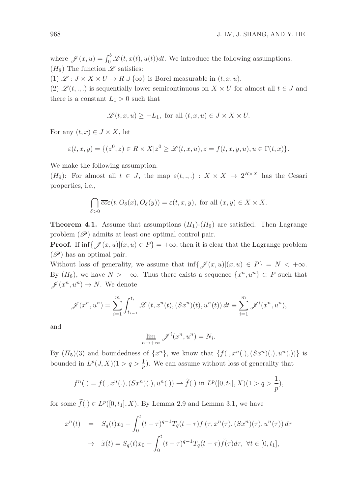where  $\mathscr{J}(x, u) = \int_0^b \mathscr{L}(t, x(t), u(t))dt$ . We introduce the following assumptions.  $(H_8)$  The function  $\mathscr L$  satisfies:

(1)  $\mathscr{L}: J \times X \times U \to R \cup {\infty}$  is Borel measurable in  $(t, x, u)$ .

(2)  $\mathscr{L}(t, \ldots)$  is sequentially lower semicontinuous on  $X \times U$  for almost all  $t \in J$  and there is a constant  $L_1 > 0$  such that

$$
\mathscr{L}(t, x, u) \ge -L_1
$$
, for all  $(t, x, u) \in J \times X \times U$ .

For any  $(t, x) \in J \times X$ , let

$$
\varepsilon(t,x,y) = \{(z^0,z) \in R \times X | z^0 \ge \mathcal{L}(t,x,u), z = f(t,x,y,u), u \in \Gamma(t,x)\}.
$$

We make the following assumption.

 $(H_9)$ : For almost all  $t \in J$ , the map  $\varepsilon(t, \ldots) : X \times X \to 2^{R \times X}$  has the Cesari properties, i.e.,

$$
\bigcap_{\delta>0}\overline{co}\varepsilon(t, O_{\delta}(x), O_{\delta}(y)) = \varepsilon(t, x, y), \text{ for all } (x, y) \in X \times X.
$$

**Theorem 4.1.** Assume that assumptions  $(H_1)$ - $(H_9)$  are satisfied. Then Lagrange problem  $(\mathscr{P})$  admits at least one optimal control pair.

**Proof.** If  $\inf \{ \mathcal{J}(x, u) | (x, u) \in P \} = +\infty$ , then it is clear that the Lagrange problem  $(\mathscr{P})$  has an optimal pair.

Without loss of generality, we assume that inf{ $\mathscr{J}(x, u) | (x, u) \in P$ } = N < + $\infty$ . By  $(H_8)$ , we have  $N > -\infty$ . Thus there exists a sequence  $\{x^n, u^n\} \subset P$  such that  $\mathscr{J}(x^n, u^n) \to N$ . We denote

$$
\mathscr{J}(x^n, u^n) = \sum_{i=1}^m \int_{t_{i-1}}^{t_i} \mathscr{L}(t, x^n(t), (Sx^n)(t), u^n(t)) dt \equiv \sum_{i=1}^m \mathscr{J}^i(x^n, u^n),
$$

and

$$
\lim_{n \to +\infty} \mathscr{J}^{i}(x^n, u^n) = N_i.
$$

By  $(H_5)(3)$  and boundedness of  $\{x^n\}$ , we know that  $\{f(.,x^n(.),(Sx^n)(.) ,u^n(.))\}$  is bounded in  $L^p(J, X)(1 > q > \frac{1}{p})$ . We can assume without loss of generality that

$$
f^{n}(.) = f(., x^{n}(.), (Sx^{n})(.), u^{n}(.) ) \rightarrow \widetilde{f}(.) \text{ in } L^{p}([0, t_{1}], X)(1 > q > \frac{1}{p}),
$$

for some  $\tilde{f}(.)\in L^p([0,t_1],X)$ . By Lemma 2.9 and Lemma 3.1, we have

$$
x^{n}(t) = S_{q}(t)x_{0} + \int_{0}^{t} (t - \tau)^{q-1} T_{q}(t - \tau) f(\tau, x^{n}(\tau), (Sx^{n})(\tau), u^{n}(\tau)) d\tau
$$
  

$$
\rightarrow \tilde{x}(t) = S_{q}(t)x_{0} + \int_{0}^{t} (t - \tau)^{q-1} T_{q}(t - \tau) \tilde{f}(\tau) d\tau, \ \forall t \in [0, t_{1}],
$$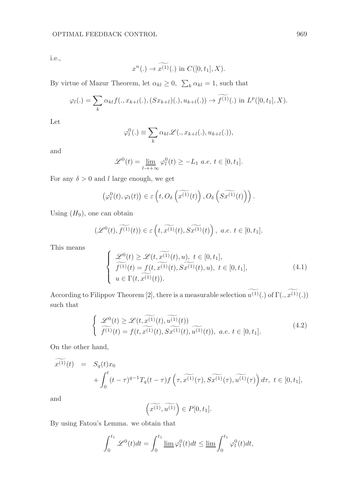i.e.,

$$
x^n(.) \to \widetilde{x^{(1)}}(.)
$$
 in  $C([0, t_1], X)$ .

By virtue of Mazur Theorem, let  $\alpha_{kl} \geq 0$ ,  $\sum_{k} \alpha_{kl} = 1$ , such that

$$
\varphi_l(.) = \sum_{k} \alpha_{kl} f(., x_{k+l}(.), (Sx_{k+l})(.), u_{k+l}(.)) \to \widetilde{f^{(1)}}(.) \text{ in } L^p([0, t_1], X).
$$

Let

$$
\varphi_l^0(.) \equiv \sum_k \alpha_{kl} \mathcal{L}(., x_{k+l}(.), u_{k+l}(.)),
$$

and

$$
\mathscr{L}^0(t) = \lim_{l \to +\infty} \varphi_l^0(t) \ge -L_1 \text{ a.e. } t \in [0, t_1].
$$

For any  $\delta > 0$  and l large enough, we get

$$
\left(\varphi_l^0(t),\varphi_l(t)\right) \in \varepsilon\left(t,O_{\delta}\left(\widetilde{x^{(1)}}(t)\right),O_{\delta}\left(\widetilde{x^{(1)}}(t)\right)\right).
$$

Using  $(H_9)$ , one can obtain

$$
(\mathscr{L}^0(t),\widetilde{f^{(1)}}(t))\in \varepsilon\left(t,\widetilde{x^{(1)}}(t),\widetilde{Sx^{(1)}}(t)\right),\,\, a.e.\,\, t\in [0,t_1].
$$

This means

$$
\begin{cases}\n\mathcal{L}^{0}(t) \geq \mathcal{L}(t,\widetilde{x^{(1)}}(t),u), \ t \in [0,t_{1}],\\ \n\widetilde{f^{(1)}}(t) = f(t,\widetilde{x^{(1)}}(t),S\widetilde{x^{(1)}}(t),u), \ t \in [0,t_{1}],\\ \nu \in \Gamma(t,\widetilde{x^{(1)}}(t)).\n\end{cases} \tag{4.1}
$$

According to Filippov Theorem [2], there is a measurable selection  $\widetilde{u^{(1)}}(.)$  of  $\Gamma(.,\widetilde{x^{(1)}}(.)$ such that

$$
\begin{cases}\n\mathcal{L}^{0}(t) \geq \mathcal{L}(t,\widetilde{x^{(1)}}(t),\widetilde{u^{(1)}}(t)) \\
\widetilde{f^{(1)}}(t) = f(t,\widetilde{x^{(1)}}(t),\widetilde{x^{(1)}}(t),\widetilde{u^{(1)}}(t)), a.e. t \in [0,t_1].\n\end{cases} (4.2)
$$

On the other hand,

$$
\widetilde{x^{(1)}}(t) = S_q(t)x_0 + \int_0^t (t-\tau)^{q-1} T_q(t-\tau) f\left(\tau, \widetilde{x^{(1)}}(\tau), \widetilde{x^{(1)}}(\tau), \widetilde{u^{(1)}}(\tau)\right) d\tau, \ t \in [0, t_1],
$$

and

$$
\left(\widetilde{x^{(1)}}, \widetilde{u^{(1)}}\right) \in P[0, t_1].
$$

By using Fatou's Lemma. we obtain that

$$
\int_0^{t_1} \mathcal{L}^0(t)dt = \int_0^{t_1} \underline{\lim} \,\varphi_l^0(t)dt \le \underline{\lim} \int_0^{t_1} \varphi_l^0(t)dt,
$$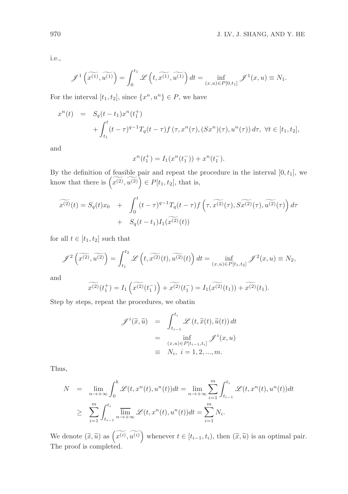i.e.,

$$
\mathscr{J}^1\left(\widetilde{x^{(1)}}, \widetilde{u^{(1)}}\right) = \int_0^{t_1} \mathscr{L}\left(t, \widetilde{x^{(1)}}, \widetilde{u^{(1)}}\right) dt = \inf_{(x,u) \in P[0,t_1]} \mathscr{J}^1(x,u) \equiv N_1.
$$

For the interval  $[t_1, t_2]$ , since  $\{x^n, u^n\} \in P$ , we have

$$
x^{n}(t) = S_{q}(t-t_{1})x^{n}(t_{1}^{+}) + \int_{t_{1}}^{t} (t-\tau)^{q-1} T_{q}(t-\tau) f(\tau, x^{n}(\tau), (Sx^{n})(\tau), u^{n}(\tau)) d\tau, \ \forall t \in [t_{1}, t_{2}],
$$

and

$$
x^{n}(t_1^+) = I_1(x^{n}(t_1^-)) + x^{n}(t_1^-).
$$

By the definition of feasible pair and repeat the procedure in the interval  $[0, t_1]$ , we know that there is  $\left(\widetilde{x^{(2)}}, \widetilde{u^{(2)}}\right) \in P[t_1, t_2]$ , that is,

$$
\widetilde{x^{(2)}}(t) = S_q(t)x_0 + \int_0^t (t-\tau)^{q-1} T_q(t-\tau) f\left(\tau, \widetilde{x^{(2)}}(\tau), \widetilde{x^{(2)}}(\tau), \widetilde{u^{(2)}}(\tau)\right) d\tau
$$

$$
+ S_q(t-t_1) I_1(\widetilde{x^{(2)}}(t))
$$

for all  $t \in [t_1, t_2]$  such that

$$
\mathscr{J}^{2}\left(\widetilde{x^{(2)}},\widetilde{u^{(2)}}\right) = \int_{t_1}^{t_2} \mathscr{L}\left(t,\widetilde{x^{(2)}}(t),\widetilde{u^{(2)}}(t)\right)dt = \inf_{(x,u)\in P[t_1,t_2]} \mathscr{J}^{2}(x,u) \equiv N_2,
$$

and

$$
\widetilde{x^{(2)}}(t_1^+) = I_1\left(\widetilde{x^{(2)}}(t_1^-)\right) + \widetilde{x^{(2)}}(t_1^-) = I_1(\widetilde{x^{(2)}}(t_1)) + \widetilde{x^{(2)}}(t_1).
$$

Step by steps, repeat the procedures, we obatin

$$
\mathscr{J}^{i}(\widetilde{x}, \widetilde{u}) = \int_{t_{i-1}}^{t_i} \mathscr{L}(t, \widetilde{x}(t), \widetilde{u}(t)) dt
$$

$$
= \inf_{\substack{(x, u) \in P[t_{i-1}, t_i] \\ \equiv N_i, i = 1, 2, ..., m.}} \mathscr{J}^{i}(x, u)
$$

Thus,

$$
N = \lim_{n \to +\infty} \int_0^b \mathcal{L}(t, x^n(t), u^n(t))dt = \lim_{n \to +\infty} \sum_{i=1}^m \int_{t_{i-1}}^{t_i} \mathcal{L}(t, x^n(t), u^n(t))dt
$$
  

$$
\geq \sum_{i=1}^m \int_{t_{i-1}}^{t_i} \overline{\lim}_{n \to +\infty} \mathcal{L}(t, x^n(t), u^n(t))dt = \sum_{i=1}^m N_i.
$$

We denote  $(\widetilde{x}, \widetilde{u})$  as  $(\widetilde{x^{(i)}}, \widetilde{u^{(i)}})$  whenever  $t \in [t_{i-1}, t_i)$ , then  $(\widetilde{x}, \widetilde{u})$  is an optimal pair. The proof is completed.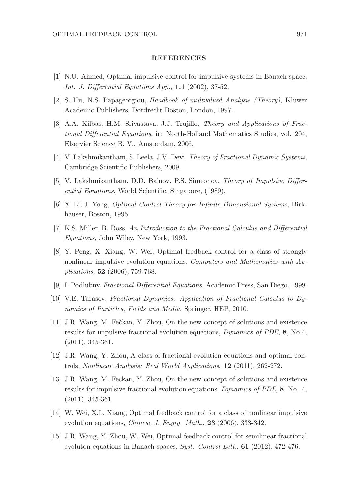#### REFERENCES

- [1] N.U. Ahmed, Optimal impulsive control for impulsive systems in Banach space, Int. J. Differential Equations App., 1.1 (2002), 37-52.
- [2] S. Hu, N.S. Papageorgiou, Handbook of multvalued Analysis (Theory), Kluwer Academic Publishers, Dordrecht Boston, London, 1997.
- [3] A.A. Kilbas, H.M. Srivastava, J.J. Trujillo, Theory and Applications of Fractional Differential Equations, in: North-Holland Mathematics Studies, vol. 204, Elservier Science B. V., Amsterdam, 2006.
- [4] V. Lakshmikantham, S. Leela, J.V. Devi, Theory of Fractional Dynamic Systems, Cambridge Scientific Publishers, 2009.
- [5] V. Lakshmikantham, D.D. Bainov, P.S. Simeonov, Theory of Impulsive Differential Equations, World Scientific, Singapore, (1989).
- [6] X. Li, J. Yong, Optimal Control Theory for Infinite Dimensional Systems, Birkhäuser, Boston, 1995.
- [7] K.S. Miller, B. Ross, An Introduction to the Fractional Calculus and Differential Equations, John Wiley, New York, 1993.
- [8] Y. Peng, X. Xiang, W. Wei, Optimal feedback control for a class of strongly nonlinear impulsive evolution equations, *Computers and Mathematics with Ap*plications, 52 (2006), 759-768.
- [9] I. Podlubny, Fractional Differential Equations, Academic Press, San Diego, 1999.
- [10] V.E. Tarasov, Fractional Dynamics: Application of Fractional Calculus to Dynamics of Particles, Fields and Media, Springer, HEP, 2010.
- [11] J.R. Wang, M. Fečkan, Y. Zhou, On the new concept of solutions and existence results for impulsive fractional evolution equations, Dynamics of PDE, 8, No.4, (2011), 345-361.
- [12] J.R. Wang, Y. Zhou, A class of fractional evolution equations and optimal controls, Nonlinear Analysis: Real World Applications, 12 (2011), 262-272.
- [13] J.R. Wang, M. Feckan, Y. Zhou, On the new concept of solutions and existence results for impulsive fractional evolution equations, Dynamics of PDE, 8, No. 4, (2011), 345-361.
- [14] W. Wei, X.L. Xiang, Optimal feedback control for a class of nonlinear impulsive evolution equations, *Chinese J. Engrg. Math.*, **23** (2006), 333-342.
- [15] J.R. Wang, Y. Zhou, W. Wei, Optimal feedback control for semilinear fractional evoluton equations in Banach spaces, Syst. Control Lett.,  $61$  (2012), 472-476.